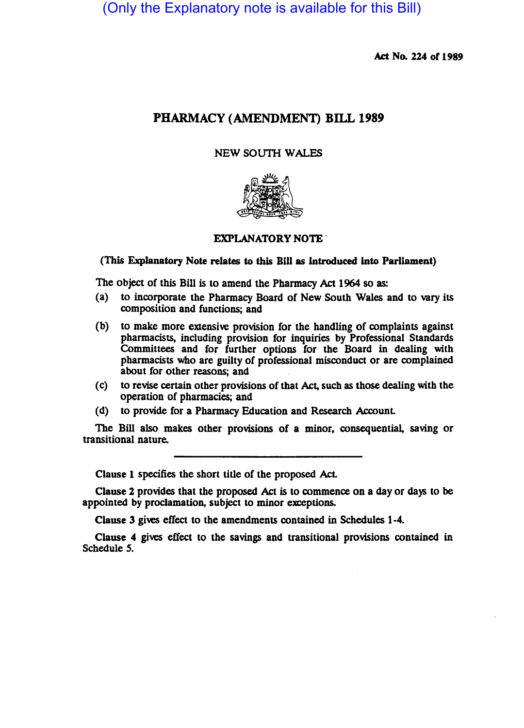(Only the Explanatory note is available for this Bill)

Act No. 224 of 1989

# PHARMACY (AMENDMENT) BILL 1989

# NEW SOUTH WALES



# EXPLANATORY NOTE .

# (This Explanatory Note relates to this Bill as introduced into Parliament)

The Object of this Bill is to amend the Pharmacy Act 1964 so as:

- (a) to incorporate the Pharmacy Board of New South Wales and to vary its composition and functions; and
- (b) to make more extensive provision for the handling of complaints against pharmacists, including provision for inquiries by Professional Standards Committees and for further options for the Board in dealing with pharmacists who are guilty of professional misconduct or are complained about for other reasons; and
- (c) to revise certain other provisiOns of that Act, such as those dealing with the operation of pharmacies; and
- (d) to provide for a Pharmacy Education and Research Account.

The Bill also makes other provisions of a minor, consequential, saving or transitional nature.

Clause 1 specifies the short title of the proposed AcL

Clause 2 provides that the proposed Act is to commence on a day or days to be appointed by proclamation, subject to minor exceptions.

Clause 3 gives effect to the amendments contained in Schedules 1-4.

Clause 4 gives effect to the savings and transitional provisions contained in Schedule *S.*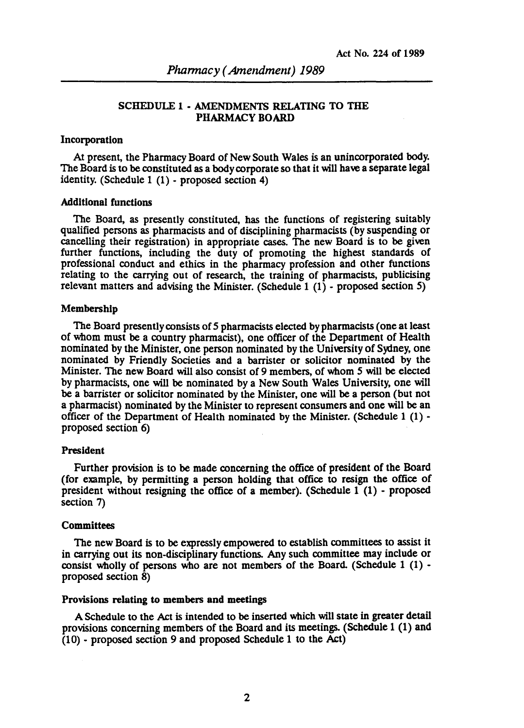# SCHEDULE 1 • AMENDMENTS RELATING TO THE PHARMACY BOARD

## Incorporation

At present, the Pharmacy Board of New South Wales is an unincorporated body. The Board is to be constituted as a body corporate so that it will have a separate legal identity. (Schedule 1 (1) - proposed section 4)

# Additional functions

The Board, as presently constituted, has the functions of registering suitably qualified persons as pharmacists and of disciplining pharmacists (by suspending or cancelling their registration) in appropriate cases. The new Board is to be given further functions, including the duty of promoting the highest standards of professional conduct and ethics in the pharmacy profession and other functions relating to the carrying out of research, the training of pharmacists, publicising relevant matters and advising the Minister. (Schedule 1 (1) - proposed section 5)

### Membership

The Board presently consists of 5 pharmacists elected by pharmacists (one at least of whom must be a country pharmacist), one officer of the Department of Health nominated by the Minister, one person nominated by the University of Sydney, one nominated by Friendly Societies and a barrister or solicitor nominated by the Minister. The new Board will also consist of 9 members, of whom 5 will be elected by pharmacists, one will be nominated by a New South Wales University, one will be a barrister or solicitor nominated by the Minister, one will be a person (but not a pharmacist) nominated by the Minister to represent consumers and one will be an officer of the Department of Health nominated by the Minister. (Schedule 1 (1) proposed section 6)

## President

Further provision is to be made concerning the office of president of the Board (for example, by permitting a person holding that office to resign the office of president without resigning the office of a member). (Schedule 1 (1) - proposed section 7)

### **Committees**

The new Board is to be expressly empowered to establish committees to assist it in carrying out its non-disciplinary functions. Any such committee may include or consist wholly of persons who are not members of the Board. (Schedule  $1(1)$  proposed section 8)

### Provisions relating to members and meetings

A Schedule to the Act is intended to be inserted which will state in greater detail provisions concerning members of the Board and its meetings. (Schedule 1  $(1)$  and (10) - proposed section 9 and proposed Schedule 1 to the Act)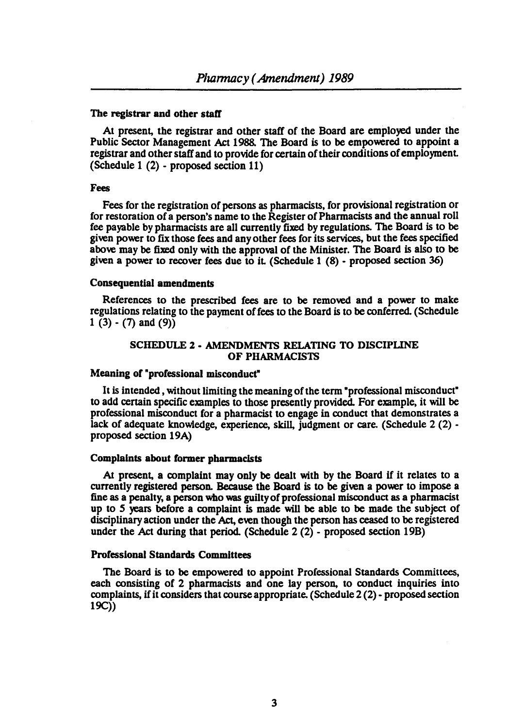## The registrar and other staff

At present, the registrar and other staff of the Board are employed under the Public Sector Management Act 1988. The Board is to be empowered to appoint a registrar and other staff and to provide for certain of their conditions of employment (Schedule 1 (2) - proposed section 11)

### Fees

Fees for the registration of persons as pharmacists, for provisional registration or for restoration of a person's name to the Register of Pharmacists and the annual roll fee payable by pharmacists are all currently fixed by regulations. The Board is to be given power to fix those fees and any other fees for its services, but the fees specified above may be fixed only with the approwl of the Minister. The Board is also to be given a power to recover fees due to it (Schedule 1 (8) - proposed section 36)

#### Consequential amendments

References to the prescribed fees are to be removed and a power to make regulations relating to the payment of fees to the Board is to be conferred. (Schedule 1 (3)  $-$  (7) and (9))

# SCHEDULE 2 • AMENDMENTS RELATING TO DISCIPLINE OF PHARMACISTS

# Meaning of "professional misconduct"

It is intended, without limiting the meaning of the term "professional misconduct" to add certain specific examples to those presently provided. For example, it will be professional misconduct for a pharmacist to engage in conduct that demonstrates a lack of adequate knowledge, experience, skill, judgment or care. (Schedule 2 (2) proposed section 19A)

### Complaints about former pharmacists

At present, a complaint may only be dealt with by the Board if it relates to a currently registered person. Because the Board is to be given a power to impose a fine as a penalty, a person who was guilty of professional misconduct as a pharmacist up to *S* years before a complaint is made will be able to be made the subject of disciplinary action under the Act, even though the person has ceased to be registered under the Act during that period. (Schedule 2 (2) - proposed section 19B)

### Professional Standards Committees

The Board is to be empowered to appoint Professional Standards Committees, each consisting of 2 pharmacists and one lay person, to conduct inquiries into complaints, if it considers that course appropriate. (Schedule 2 (2) - proposed section  $19C)$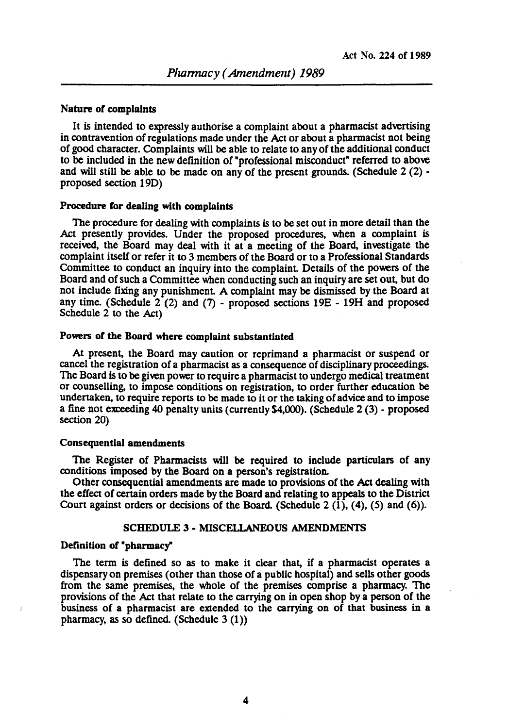### Nature or complaints

It is intended to expressly authorise a complaint about a pharmacist advenising in contravention of regulations made under the Act or about a pharmacist not being of good character. Complaints will be able to relate to any of the additional conduct to be included in the new definition of "professional misconduct" referred to above and will still be able to be made on any of the present grounds. (Schedule  $2(2)$  proposed section 19D)

#### Procedure for dealing with complaints

The procedure for dealing with complaints is to be set out in more detail than the Act presently provides. Under the proposed procedures, when a complaint is received, the Board may deal with it at a meeting of the Board, investigate the complaint itself or refer it to 3 members of the Board or to a Professional Standards Committee to conduct an inquiry into the complaint Details of the powers of the Board and of such a Committee when conducting such an inquiry are set out, but do not include fixing any punishment A complaint may be dismissed by the Board at any time. (Schedule  $2(2)$  and (7) - proposed sections  $19E - 19H$  and proposed Schedule 2 to the Act)

## Powers of the Board where complaint substantiated

At present, the Board may caution or reprimand a pharmacist or suspend or cancel the registration of a pharmacist as a consequence of disciplinary proceedings. The Board is to be given power to require a pharmacist to undergo medical treatment or counselling, to impose conditions on registration, to order further education be undertaken, to require reports to be made to it or the taking of advice and to impose a fine not exceeding 40 penalty units (currently S4,OOO). (Schedule 2 (3) • proposed section 20)

### Consequential amendments

The Register of Pharmacists will be required to include paniculars of any conditions imposed by the Board on a person's registration.

Other consequential amendments are made to provisions of the Act dealing with the effect of certain orders made by the Board and relating to appeals to the District Court against orders or decisions of the Board. (Schedule 2  $(1)$ ,  $(4)$ ,  $(5)$  and  $(6)$ ).

## SCHEDULE 3 • MISCELLANEOUS AMENDMENTS

#### Definition of "pharmacy"

The term is defined so as to make it clear that, if a pharmacist operates a dispensary on premises (other than those of a public hospital) and sells other goods from the same premises, the whole of the premises comprise a pharmacy. The provisions of the.Act that relate to the carrying on in open shop by a person of the business of a pharmacist are extended to the carrying on of that business in a pharmacy, as so defined. (Schedule  $3(1)$ )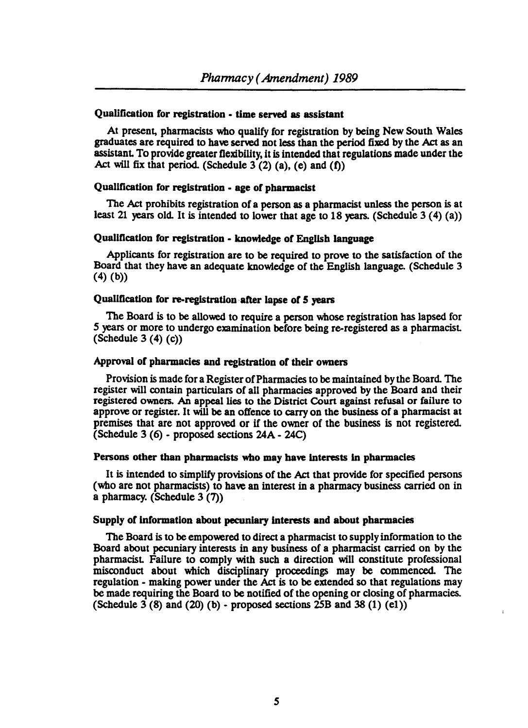# Qualification for registration. time served as assistant

At present, pharmacists who qualify for registration by being New South Wales graduates are required to have served not less than the period fixed by the Act as an assistant To provide greater flexibility, it is intended that regulations made under the Act will fix that period. (Schedule  $3(2)$  (a), (e) and (f))

# Qualification for registration. age of pharmacist

The Act prohibits registration of a person as a pharmacist unless the person is at least 21 years old. It is intended to lower that age to 18 years. (Schedule  $3(4)(a)$ )

## Qualification for registration. knowledge of English language

Applicants for registration are to be required to prove to the satisfaction of the Board that they have an adequate knowledge of the English language. (Schedule 3  $(4)$   $(b)$ 

# Qualification for re-registration after lapse of 5 years

The Board is to be allowed to require a person whose registration has lapsed for 5 years or more to undergo examination before being re-registered as a pharmacist (Schedule 3 $(4)$  $(c)$ )

# Approval of pharmacies and registration of their owners

Provision is made for a Register of Pharmacies to be maintained by the Board. The register will contain particulars of all pharmacies approved by the Board and their registered owners. An appeal lies to the District Court against refusal or failure to approve or register. It will be an offence to carry on the business of a pharmacist at premises that are not approved or if the owner of the business is not registered. (Schedule 3 (6) - proposed sections 24A - 24C)

#### Persons other than pbarmacists who may have Interests In pharmacies

It is intended to simplify provisions of the Act that provide for Specified persons (who are not pharmacists) to have an interest in a pharmacy business carried on in a pharmacy. (Schedule  $3(7)$ )

### Supply of information about pecuniary interests and about pharmacies

The Board is to be empowered to direct a pharmacist to supply information to the Board about pecuniary interests in any business of a pharmacist carried on by the pharmacist Failure to comply with such a direction will constitute professional misconduct about which disciplinary proceedings may be commenced. The regulation - making power under the Act is to be extended so that regulations may be made requiring the Board to be notified of the opening or closing of pharmacies. (Schedule  $3(8)$  and  $(20)(b)$  - proposed sections  $25B$  and  $38(1)(e1)$ )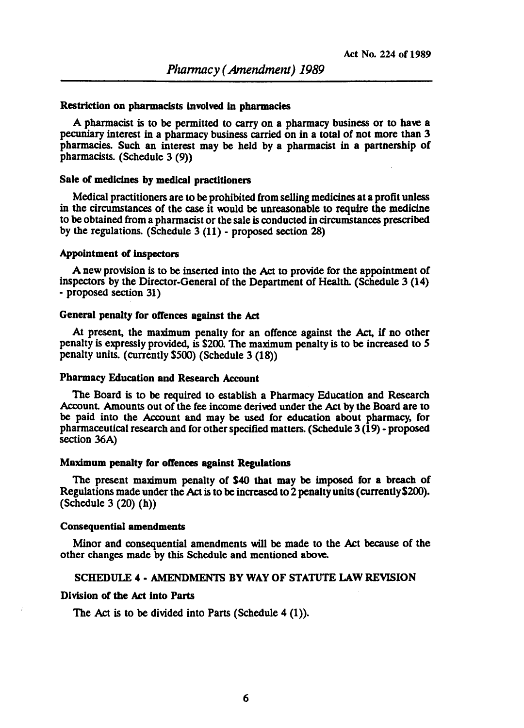#### Restriction on pharmacists involved in pharmacies

A pharmacist is to be permitted to carry on a pharmacy business or to have a pecuniary interest in a pharmacy business carried on in a total of not more than 3 pharmacies. Such an interest may be held by a pharmacist in a partnership of pharmacists. (Schedule 3 (9))

### Sale of medicines by medical practitioners

Medical practitioners are to be prohibited from selling medicines at a profit unless in the circumstances of the case it would be unreasonable to require the medicine to be obtained from a pharmacist or the sale is conducted in circumstances prescribed by the regulations. (Schedule 3 (11) - proposed section 28)

#### Appointment of inspectors

A new provision is to be inserted into the Act to provide for the appointment of inspectors by the Director-General of the Department of Health. (Schedule 3 (14) - proposed section 31)

### General penalty for offences against the Act

At present, the maximum penalty for an offence against the Act, if no other penalty is expressly provided, is \$200. The maximum penalty is to be increased to *5*  penalty units. (currently \$500) (Schedule 3 (18))

# Pharmacy Education and Research Account

The Board is to be required to establish a Pharmacy Education and Research Account Amounts out of the fee income derived under the Act by the Board are to be paid into the Account and may be used for education about pharmacy, for pharmaceutical research and for other specified matters. (Schedule 3 (19) - proposed section 36A)

#### Maximum penalty for offences against Regulations

The present maximum penalty of \$40 that may be imposed for a breach of Regulations made under the Act is to be increased to 2 penalty units (currentlyS200). (Schedule  $3(20)$  (h))

# Consequential amendments

Minor and consequential amendments will be made to the Act because of the other changes made by this Schedule and mentioned above.

# SCHEDULE 4· AMENDMENTS BY WAY OF STATUTE LAW REVISION

## Division of the Act into Parts

The Act is to be divided into Parts (Schedule  $4(1)$ ).